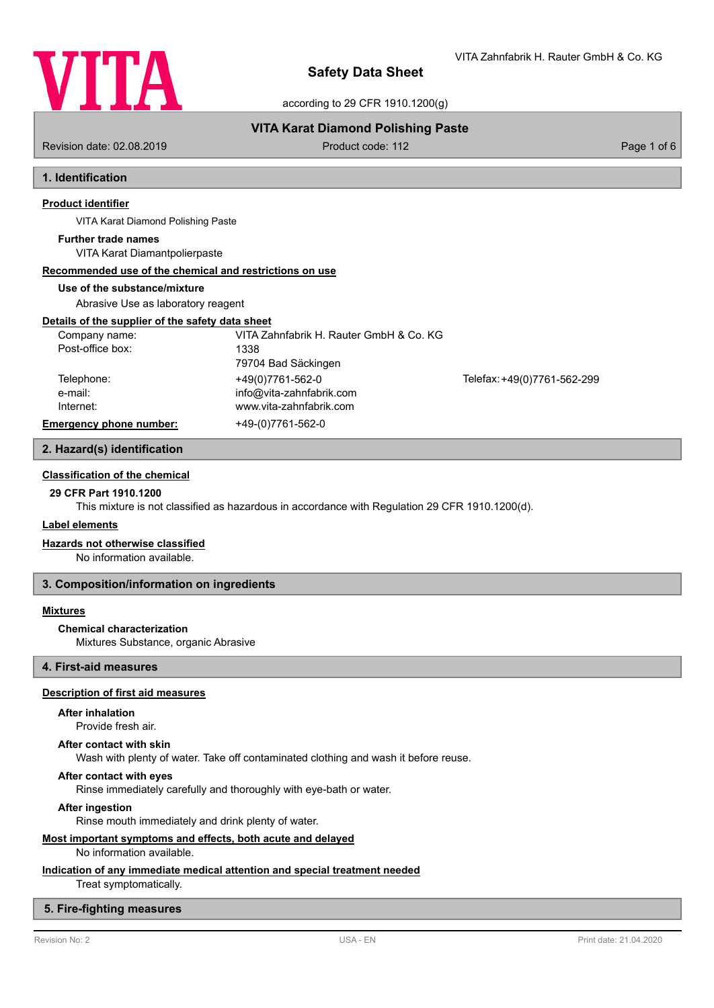

VITA Zahnfabrik H. Rauter GmbH & Co. KG

according to 29 CFR 1910.1200(g)

# **VITA Karat Diamond Polishing Paste**

Revision date: 02.08.2019 **Product code: 112** Product code: 112 Page 1 of 6

# **1. Identification**

# **Product identifier**

VITA Karat Diamond Polishing Paste

#### **Further trade names**

VITA Karat Diamantpolierpaste

## **Recommended use of the chemical and restrictions on use**

#### **Use of the substance/mixture**

Abrasive Use as laboratory reagent

#### **Details of the supplier of the safety data sheet**

| Company name:                  | VITA Zahnfabrik H. Rauter GmbH & Co. KG |                             |
|--------------------------------|-----------------------------------------|-----------------------------|
| Post-office box:               | 1338                                    |                             |
|                                | 79704 Bad Säckingen                     |                             |
| Telephone:                     | +49(0)7761-562-0                        | Telefax: +49(0)7761-562-299 |
| e-mail:                        | info@vita-zahnfabrik.com                |                             |
| Internet:                      | www.vita-zahnfabrik.com                 |                             |
| <b>Emergency phone number:</b> | +49-(0)7761-562-0                       |                             |

## **2. Hazard(s) identification**

# **Classification of the chemical**

# **29 CFR Part 1910.1200**

This mixture is not classified as hazardous in accordance with Regulation 29 CFR 1910.1200(d).

## **Label elements**

## **Hazards not otherwise classified**

No information available.

## **3. Composition/information on ingredients**

## **Mixtures**

## **Chemical characterization**

Mixtures Substance, organic Abrasive

# **4. First-aid measures**

# **Description of first aid measures**

#### **After inhalation**

Provide fresh air.

#### **After contact with skin**

Wash with plenty of water. Take off contaminated clothing and wash it before reuse.

## **After contact with eyes**

Rinse immediately carefully and thoroughly with eye-bath or water.

#### **After ingestion**

Rinse mouth immediately and drink plenty of water.

## **Most important symptoms and effects, both acute and delayed**

### No information available.

# **Indication of any immediate medical attention and special treatment needed**

Treat symptomatically.

# **5. Fire-fighting measures**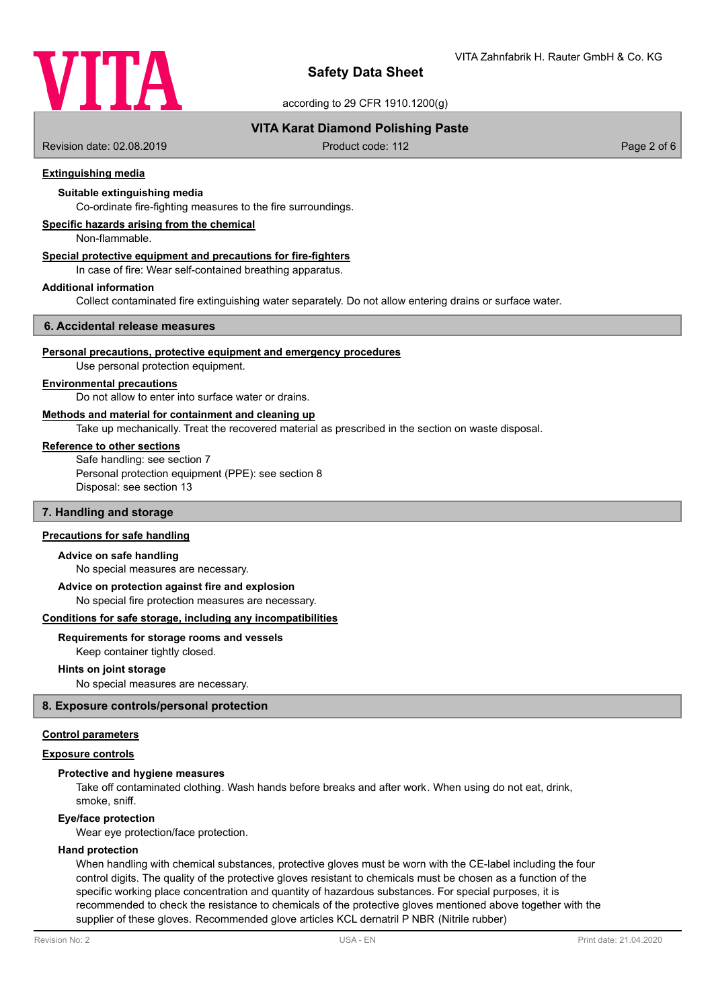

according to 29 CFR 1910.1200(g)

# **VITA Karat Diamond Polishing Paste**

Revision date: 02.08.2019 **Product code: 112** Product code: 112 Page 2 of 6

## **Extinguishing media**

# **Suitable extinguishing media**

Co-ordinate fire-fighting measures to the fire surroundings.

## **Specific hazards arising from the chemical**

Non-flammable.

# **Special protective equipment and precautions for fire-fighters**

In case of fire: Wear self-contained breathing apparatus.

#### **Additional information**

Collect contaminated fire extinguishing water separately. Do not allow entering drains or surface water.

#### **6. Accidental release measures**

#### **Personal precautions, protective equipment and emergency procedures**

Use personal protection equipment.

#### **Environmental precautions**

Do not allow to enter into surface water or drains.

## **Methods and material for containment and cleaning up**

Take up mechanically. Treat the recovered material as prescribed in the section on waste disposal.

### **Reference to other sections**

Safe handling: see section 7 Personal protection equipment (PPE): see section 8 Disposal: see section 13

## **7. Handling and storage**

# **Precautions for safe handling**

#### **Advice on safe handling**

No special measures are necessary.

#### **Advice on protection against fire and explosion**

No special fire protection measures are necessary.

#### **Conditions for safe storage, including any incompatibilities**

## **Requirements for storage rooms and vessels**

Keep container tightly closed.

#### **Hints on joint storage**

No special measures are necessary.

### **8. Exposure controls/personal protection**

## **Control parameters**

## **Exposure controls**

## **Protective and hygiene measures**

Take off contaminated clothing. Wash hands before breaks and after work. When using do not eat, drink, smoke, sniff.

#### **Eye/face protection**

Wear eye protection/face protection.

## **Hand protection**

When handling with chemical substances, protective gloves must be worn with the CE-label including the four control digits. The quality of the protective gloves resistant to chemicals must be chosen as a function of the specific working place concentration and quantity of hazardous substances. For special purposes, it is recommended to check the resistance to chemicals of the protective gloves mentioned above together with the supplier of these gloves. Recommended glove articles KCL dernatril P NBR (Nitrile rubber)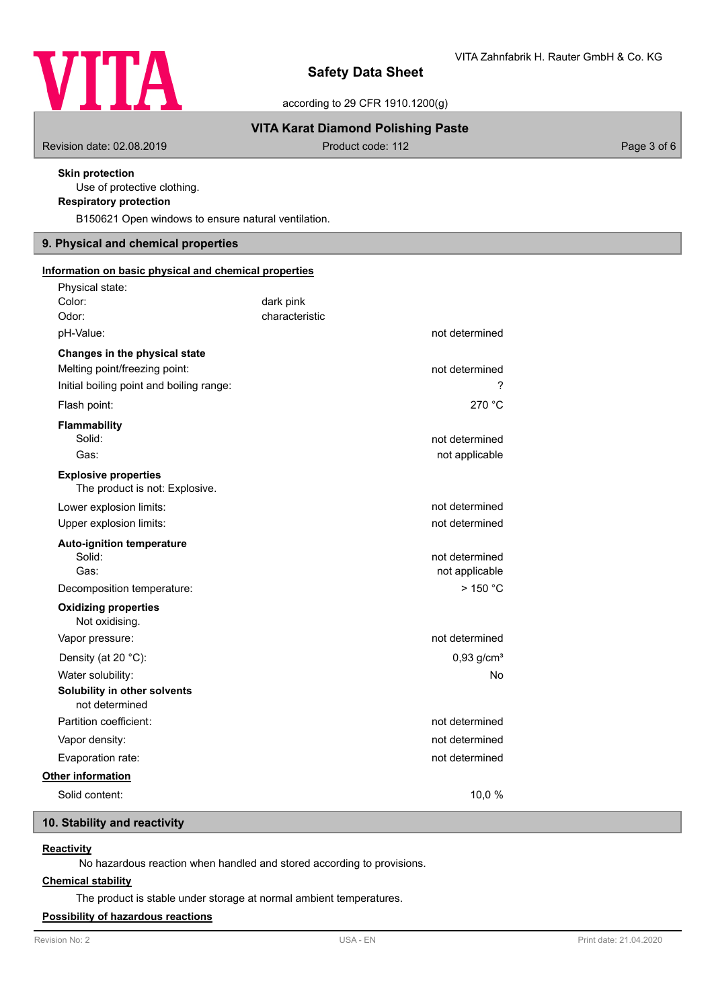

according to 29 CFR 1910.1200(g)

# **VITA Karat Diamond Polishing Paste**

Revision date: 02.08.2019 **Product code: 112** Product code: 112 Page 3 of 6

# **Skin protection**

Use of protective clothing.

# **Respiratory protection**

B150621 Open windows to ensure natural ventilation.

# **9. Physical and chemical properties**

| Information on basic physical and chemical properties         |                |                          |  |  |
|---------------------------------------------------------------|----------------|--------------------------|--|--|
| Physical state:                                               |                |                          |  |  |
| Color:                                                        | dark pink      |                          |  |  |
| Odor:                                                         | characteristic |                          |  |  |
| pH-Value:                                                     |                | not determined           |  |  |
| Changes in the physical state                                 |                |                          |  |  |
| Melting point/freezing point:                                 |                | not determined           |  |  |
| Initial boiling point and boiling range:                      |                | ?                        |  |  |
| Flash point:                                                  |                | 270 °C                   |  |  |
| Flammability                                                  |                |                          |  |  |
| Solid:                                                        |                | not determined           |  |  |
| Gas:                                                          |                | not applicable           |  |  |
| <b>Explosive properties</b><br>The product is not: Explosive. |                |                          |  |  |
| Lower explosion limits:                                       |                | not determined           |  |  |
| Upper explosion limits:                                       |                | not determined           |  |  |
| <b>Auto-ignition temperature</b>                              |                |                          |  |  |
| Solid:                                                        |                | not determined           |  |  |
| Gas:                                                          |                | not applicable           |  |  |
| Decomposition temperature:                                    |                | $>$ 150 °C               |  |  |
| <b>Oxidizing properties</b><br>Not oxidising.                 |                |                          |  |  |
| Vapor pressure:                                               |                | not determined           |  |  |
| Density (at 20 °C):                                           |                | $0,93$ g/cm <sup>3</sup> |  |  |
| Water solubility:                                             |                | No                       |  |  |
| Solubility in other solvents<br>not determined                |                |                          |  |  |
| Partition coefficient:                                        |                | not determined           |  |  |
| Vapor density:                                                |                | not determined           |  |  |
| Evaporation rate:                                             |                | not determined           |  |  |
| <b>Other information</b>                                      |                |                          |  |  |
| Solid content:                                                |                | 10,0%                    |  |  |

# **10. Stability and reactivity**

# **Reactivity**

No hazardous reaction when handled and stored according to provisions.

# **Chemical stability**

The product is stable under storage at normal ambient temperatures.

# **Possibility of hazardous reactions**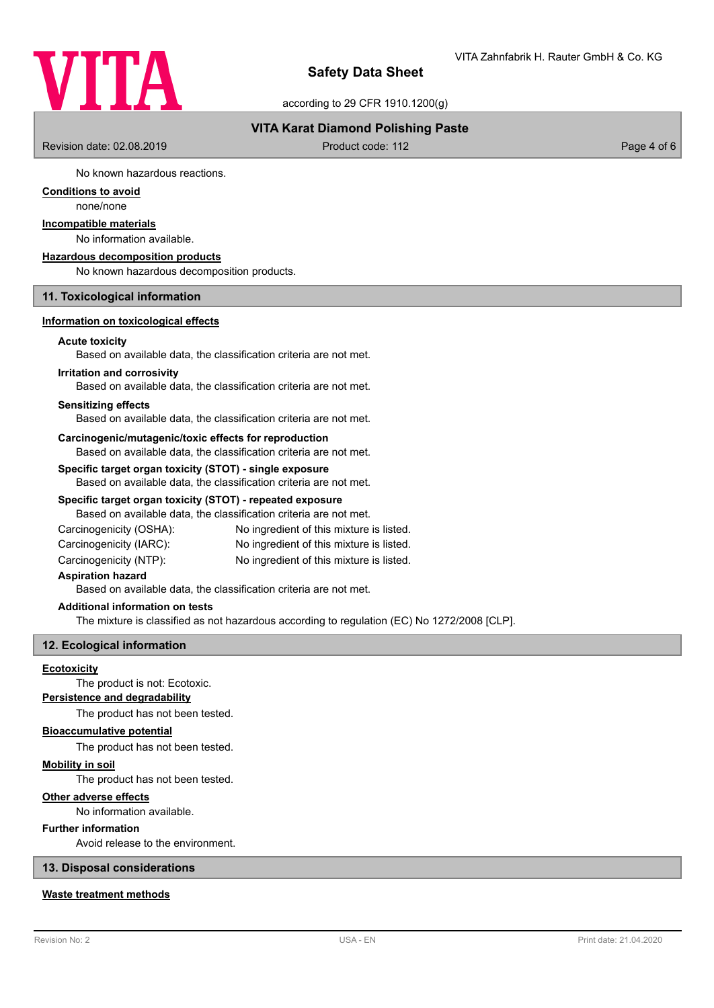

according to 29 CFR 1910.1200(g)

# **VITA Karat Diamond Polishing Paste**

Revision date: 02.08.2019 **Product code: 112** Product code: 112 Page 4 of 6

No known hazardous reactions.

# **Conditions to avoid**

none/none

# **Incompatible materials**

No information available.

#### **Hazardous decomposition products**

No known hazardous decomposition products.

# **11. Toxicological information**

### **Information on toxicological effects**

## **Acute toxicity**

Based on available data, the classification criteria are not met.

#### **Irritation and corrosivity**

Based on available data, the classification criteria are not met.

#### **Sensitizing effects**

Based on available data, the classification criteria are not met.

#### **Carcinogenic/mutagenic/toxic effects for reproduction**

Based on available data, the classification criteria are not met.

# **Specific target organ toxicity (STOT) - single exposure**

Based on available data, the classification criteria are not met.

### **Specific target organ toxicity (STOT) - repeated exposure**

Based on available data, the classification criteria are not met.

| Carcinogenicity (OSHA): | No ingredient of this mixture is listed. |
|-------------------------|------------------------------------------|
| Carcinogenicity (IARC): | No ingredient of this mixture is listed. |
|                         | .                                        |

Carcinogenicity (NTP): No ingredient of this mixture is listed.

# **Aspiration hazard**

Based on available data, the classification criteria are not met.

#### **Additional information on tests**

The mixture is classified as not hazardous according to regulation (EC) No 1272/2008 [CLP].

## **12. Ecological information**

### **Ecotoxicity**

The product is not: Ecotoxic.

# **Persistence and degradability**

The product has not been tested.

## **Bioaccumulative potential**

The product has not been tested.

# **Mobility in soil**

The product has not been tested.

# **Other adverse effects**

No information available.

## **Further information**

Avoid release to the environment.

# **13. Disposal considerations**

# **Waste treatment methods**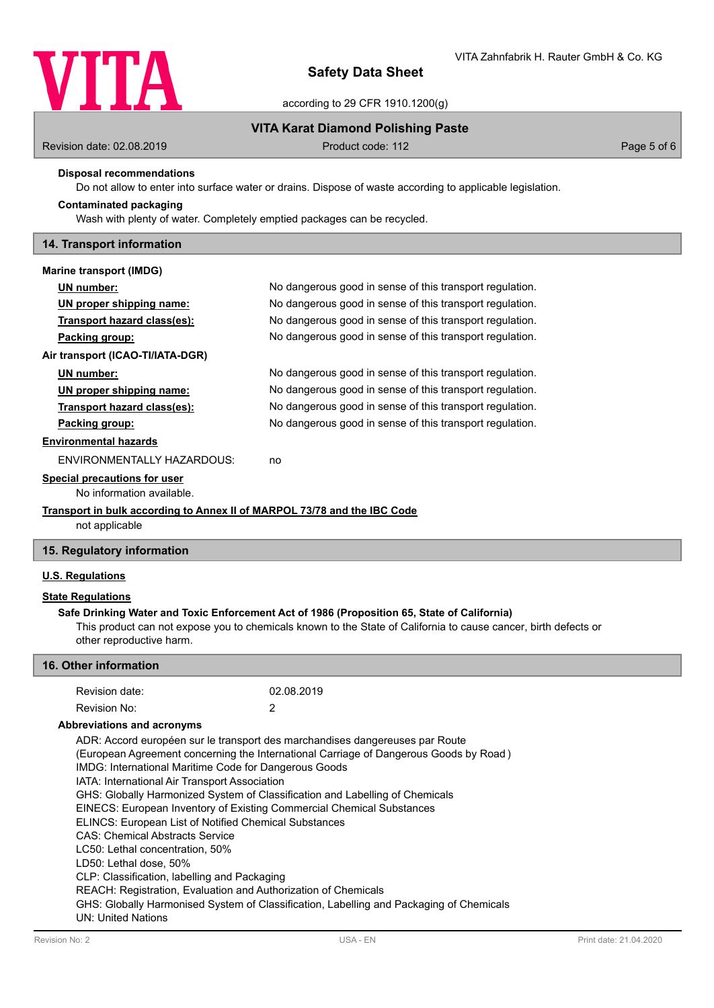

according to 29 CFR 1910.1200(g)

# **VITA Karat Diamond Polishing Paste**

Revision date: 02.08.2019 **Product code: 112** Product code: 112 Page 5 of 6

## **Disposal recommendations**

Do not allow to enter into surface water or drains. Dispose of waste according to applicable legislation.

# Wash with plenty of water. Completely emptied packages can be recycled. **Contaminated packaging**

## **14. Transport information**

| Marine transport (IMDG)                                                  |                                                          |  |
|--------------------------------------------------------------------------|----------------------------------------------------------|--|
| UN number:                                                               | No dangerous good in sense of this transport regulation. |  |
| UN proper shipping name:                                                 | No dangerous good in sense of this transport regulation. |  |
| Transport hazard class(es):                                              | No dangerous good in sense of this transport regulation. |  |
| Packing group:                                                           | No dangerous good in sense of this transport regulation. |  |
| Air transport (ICAO-TI/IATA-DGR)                                         |                                                          |  |
| UN number:                                                               | No dangerous good in sense of this transport regulation. |  |
| UN proper shipping name:                                                 | No dangerous good in sense of this transport regulation. |  |
| Transport hazard class(es):                                              | No dangerous good in sense of this transport regulation. |  |
| Packing group:                                                           | No dangerous good in sense of this transport regulation. |  |
| <b>Environmental hazards</b>                                             |                                                          |  |
| ENVIRONMENTALLY HAZARDOUS:                                               | no                                                       |  |
| Special precautions for user                                             |                                                          |  |
| No information available.                                                |                                                          |  |
| Transport in bulk according to Annex II of MARPOL 73/78 and the IBC Code |                                                          |  |

not applicable

# **15. Regulatory information**

# **U.S. Regulations**

## **State Regulations**

# **Safe Drinking Water and Toxic Enforcement Act of 1986 (Proposition 65, State of California)**

This product can not expose you to chemicals known to the State of California to cause cancer, birth defects or other reproductive harm.

# **16. Other information**

| Revision date:                                                                        | 02.08.2019                                                                              |  |  |  |  |
|---------------------------------------------------------------------------------------|-----------------------------------------------------------------------------------------|--|--|--|--|
| Revision No:                                                                          | 2                                                                                       |  |  |  |  |
| Abbreviations and acronyms                                                            |                                                                                         |  |  |  |  |
|                                                                                       | ADR: Accord européen sur le transport des marchandises dangereuses par Route            |  |  |  |  |
| (European Agreement concerning the International Carriage of Dangerous Goods by Road) |                                                                                         |  |  |  |  |
| IMDG: International Maritime Code for Dangerous Goods                                 |                                                                                         |  |  |  |  |
| IATA: International Air Transport Association                                         |                                                                                         |  |  |  |  |
| GHS: Globally Harmonized System of Classification and Labelling of Chemicals          |                                                                                         |  |  |  |  |
| EINECS: European Inventory of Existing Commercial Chemical Substances                 |                                                                                         |  |  |  |  |
| <b>ELINCS: European List of Notified Chemical Substances</b>                          |                                                                                         |  |  |  |  |
| <b>CAS: Chemical Abstracts Service</b>                                                |                                                                                         |  |  |  |  |
| LC50: Lethal concentration. 50%                                                       |                                                                                         |  |  |  |  |
| LD50: Lethal dose, 50%                                                                |                                                                                         |  |  |  |  |
| CLP: Classification, labelling and Packaging                                          |                                                                                         |  |  |  |  |
| REACH: Registration, Evaluation and Authorization of Chemicals                        |                                                                                         |  |  |  |  |
|                                                                                       | GHS: Globally Harmonised System of Classification, Labelling and Packaging of Chemicals |  |  |  |  |
| <b>UN: United Nations</b>                                                             |                                                                                         |  |  |  |  |